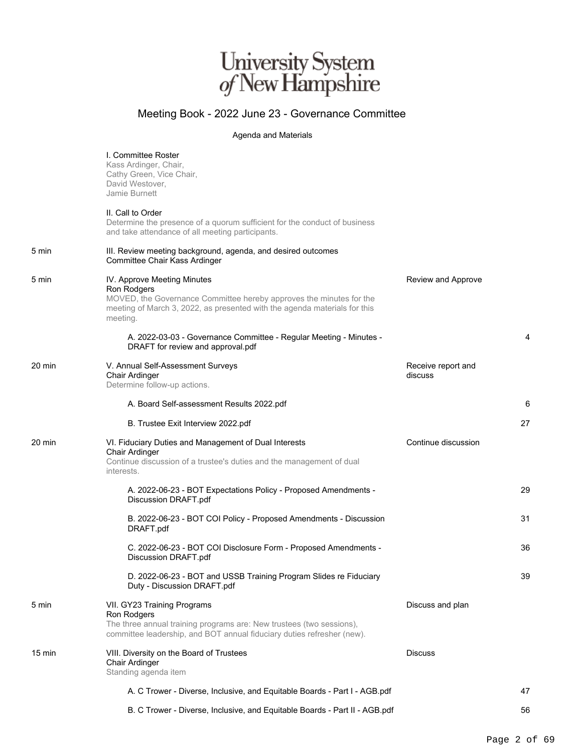## University System<br> $of$  New Hampshire

## Meeting Book - 2022 June 23 - Governance Committee

## Agenda and Materials

|        | I. Committee Roster<br>Kass Ardinger, Chair,<br>Cathy Green, Vice Chair,<br>David Westover,<br>Jamie Burnett                                                                                               |                               |    |
|--------|------------------------------------------------------------------------------------------------------------------------------------------------------------------------------------------------------------|-------------------------------|----|
|        | II. Call to Order<br>Determine the presence of a quorum sufficient for the conduct of business<br>and take attendance of all meeting participants.                                                         |                               |    |
| 5 min  | III. Review meeting background, agenda, and desired outcomes<br>Committee Chair Kass Ardinger                                                                                                              |                               |    |
| 5 min  | IV. Approve Meeting Minutes<br>Ron Rodgers<br>MOVED, the Governance Committee hereby approves the minutes for the<br>meeting of March 3, 2022, as presented with the agenda materials for this<br>meeting. | Review and Approve            |    |
|        | A. 2022-03-03 - Governance Committee - Regular Meeting - Minutes -<br>DRAFT for review and approval.pdf                                                                                                    |                               | 4  |
| 20 min | V. Annual Self-Assessment Surveys<br>Chair Ardinger<br>Determine follow-up actions.                                                                                                                        | Receive report and<br>discuss |    |
|        | A. Board Self-assessment Results 2022.pdf                                                                                                                                                                  |                               | 6  |
|        | B. Trustee Exit Interview 2022.pdf                                                                                                                                                                         |                               | 27 |
| 20 min | VI. Fiduciary Duties and Management of Dual Interests<br>Chair Ardinger<br>Continue discussion of a trustee's duties and the management of dual<br>interests.                                              | Continue discussion           |    |
|        | A. 2022-06-23 - BOT Expectations Policy - Proposed Amendments -<br>Discussion DRAFT.pdf                                                                                                                    |                               | 29 |
|        | B. 2022-06-23 - BOT COI Policy - Proposed Amendments - Discussion<br>DRAFT.pdf                                                                                                                             |                               | 31 |
|        | C. 2022-06-23 - BOT COI Disclosure Form - Proposed Amendments -<br>Discussion DRAFT.pdf                                                                                                                    |                               | 36 |
|        | D. 2022-06-23 - BOT and USSB Training Program Slides re Fiduciary<br>Duty - Discussion DRAFT.pdf                                                                                                           |                               | 39 |
| 5 min  | VII. GY23 Training Programs<br>Ron Rodgers<br>The three annual training programs are: New trustees (two sessions),<br>committee leadership, and BOT annual fiduciary duties refresher (new).               | Discuss and plan              |    |
| 15 min | VIII. Diversity on the Board of Trustees<br>Chair Ardinger<br>Standing agenda item                                                                                                                         | <b>Discuss</b>                |    |
|        | A. C Trower - Diverse, Inclusive, and Equitable Boards - Part I - AGB.pdf                                                                                                                                  |                               | 47 |
|        | B. C Trower - Diverse, Inclusive, and Equitable Boards - Part II - AGB.pdf                                                                                                                                 |                               | 56 |